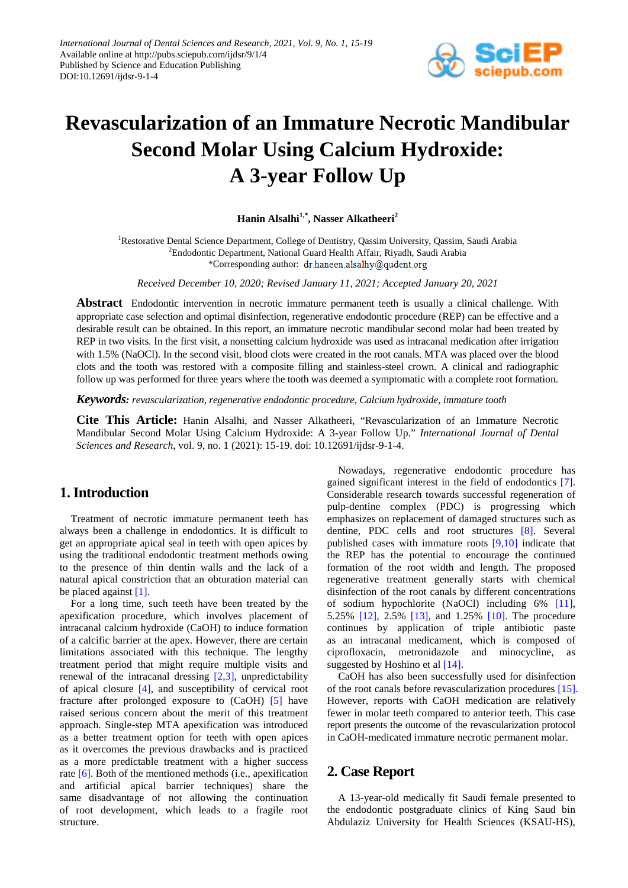

# **Revascularization of an Immature Necrotic Mandibular Second Molar Using Calcium Hydroxide: A 3-year Follow Up**

Hanin Alsalhi<sup>1,\*</sup>, Nasser Alkatheeri<sup>2</sup>

<sup>1</sup>Restorative Dental Science Department, College of Dentistry, Qassim University, Qassim, Saudi Arabia <sup>2</sup>Endodontic Department, National Guard Health Affair, Riyadh, Saudi Arabia \*Corresponding author: dr.haneen.alsalhy@qudent.org

*Received December 10, 2020; Revised January 11, 2021; Accepted January 20, 2021*

**Abstract** Endodontic intervention in necrotic immature permanent teeth is usually a clinical challenge. With appropriate case selection and optimal disinfection, regenerative endodontic procedure (REP) can be effective and a desirable result can be obtained. In this report, an immature necrotic mandibular second molar had been treated by REP in two visits. In the first visit, a nonsetting calcium hydroxide was used as intracanal medication after irrigation with 1.5% (NaOCl). In the second visit, blood clots were created in the root canals. MTA was placed over the blood clots and the tooth was restored with a composite filling and stainless-steel crown. A clinical and radiographic follow up was performed for three years where the tooth was deemed a symptomatic with a complete root formation.

*Keywords: revascularization, regenerative endodontic procedure, Calcium hydroxide, immature tooth*

**Cite This Article:** Hanin Alsalhi, and Nasser Alkatheeri, "Revascularization of an Immature Necrotic Mandibular Second Molar Using Calcium Hydroxide: A 3-year Follow Up." *International Journal of Dental Sciences and Research*, vol. 9, no. 1 (2021): 15-19. doi: 10.12691/ijdsr-9-1-4.

## **1. Introduction**

Treatment of necrotic immature permanent teeth has always been a challenge in endodontics. It is difficult to get an appropriate apical seal in teeth with open apices by using the traditional endodontic treatment methods owing to the presence of thin dentin walls and the lack of a natural apical constriction that an obturation material can be placed against [\[1\].](#page-3-0)

For a long time, such teeth have been treated by the apexification procedure, which involves placement of intracanal calcium hydroxide (CaOH) to induce formation of a calcific barrier at the apex. However, there are certain limitations associated with this technique. The lengthy treatment period that might require multiple visits and renewal of the intracanal dressing [\[2,3\],](#page-3-1) unpredictability of apical closure [\[4\],](#page-3-2) and susceptibility of cervical root fracture after prolonged exposure to (CaOH) [\[5\]](#page-3-3) have raised serious concern about the merit of this treatment approach. Single-step MTA apexification was introduced as a better treatment option for teeth with open apices as it overcomes the previous drawbacks and is practiced as a more predictable treatment with a higher success rate [\[6\].](#page-3-4) Both of the mentioned methods (i.e., apexification and artificial apical barrier techniques) share the same disadvantage of not allowing the continuation of root development, which leads to a fragile root structure.

Nowadays, regenerative endodontic procedure has gained significant interest in the field of endodontics [\[7\].](#page-3-5) Considerable research towards successful regeneration of pulp-dentine complex (PDC) is progressing which emphasizes on replacement of damaged structures such as dentine, PDC cells and root structures [\[8\].](#page-3-6) Several published cases with immature roots [\[9,10\]](#page-3-7) indicate that the REP has the potential to encourage the continued formation of the root width and length. The proposed regenerative treatment generally starts with chemical disinfection of the root canals by different concentrations of sodium hypochlorite (NaOCl) including 6% [\[11\],](#page-3-8) 5.25% [\[12\],](#page-3-9) 2.5% [\[13\],](#page-3-10) and 1.25% [\[10\].](#page-3-11) The procedure continues by application of triple antibiotic paste as an intracanal medicament, which is composed of ciprofloxacin, metronidazole and minocycline, as suggested by Hoshino et al [\[14\].](#page-3-12)

CaOH has also been successfully used for disinfection of the root canals before revascularization procedures [\[15\].](#page-3-13) However, reports with CaOH medication are relatively fewer in molar teeth compared to anterior teeth. This case report presents the outcome of the revascularization protocol in CaOH-medicated immature necrotic permanent molar.

## **2. Case Report**

A 13-year-old medically fit Saudi female presented to the endodontic postgraduate clinics of King Saud bin Abdulaziz University for Health Sciences (KSAU-HS),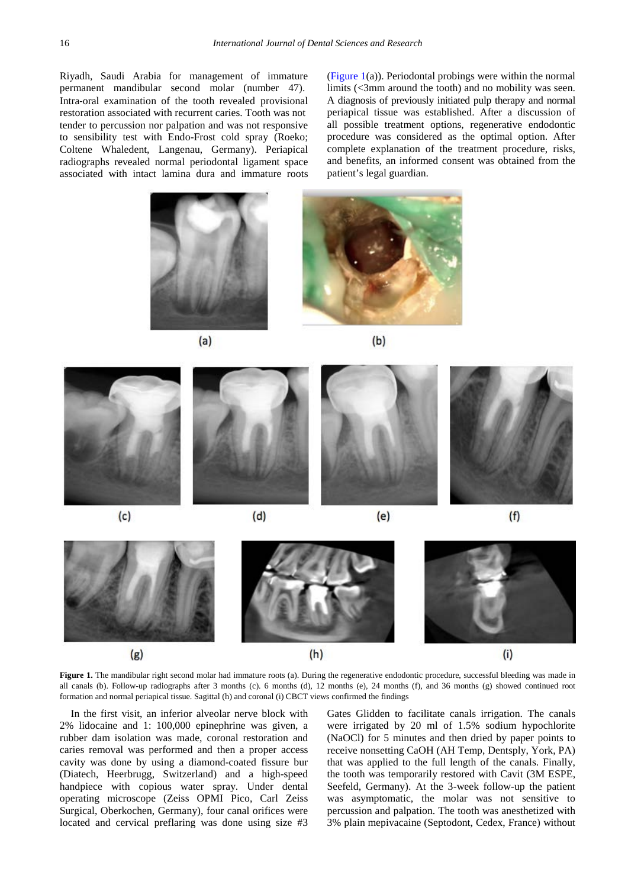Riyadh, Saudi Arabia for management of immature permanent mandibular second molar (number 47). Intra‐oral examination of the tooth revealed provisional restoration associated with recurrent caries. Tooth was not tender to percussion nor palpation and was not responsive to sensibility test with Endo-Frost cold spray (Roeko; Coltene Whaledent, Langenau, Germany). Periapical radiographs revealed normal periodontal ligament space associated with intact lamina dura and immature roots [\(Figure 1\(](#page-1-0)a)). Periodontal probings were within the normal limits (<3mm around the tooth) and no mobility was seen. A diagnosis of previously initiated pulp therapy and normal periapical tissue was established. After a discussion of all possible treatment options, regenerative endodontic procedure was considered as the optimal option. After complete explanation of the treatment procedure, risks, and benefits, an informed consent was obtained from the patient's legal guardian.

<span id="page-1-0"></span>



 $(b)$ 





Figure 1. The mandibular right second molar had immature roots (a). During the regenerative endodontic procedure, successful bleeding was made in all canals (b). Follow-up radiographs after 3 months (c). 6 months (d), 12 months (e), 24 months (f), and 36 months (g) showed continued root formation and normal periapical tissue. Sagittal (h) and coronal (i) CBCT views confirmed the findings

In the first visit, an inferior alveolar nerve block with 2% lidocaine and 1: 100,000 epinephrine was given, a rubber dam isolation was made, coronal restoration and caries removal was performed and then a proper access cavity was done by using a diamond-coated fissure bur (Diatech, Heerbrugg, Switzerland) and a high-speed handpiece with copious water spray. Under dental operating microscope (Zeiss OPMI Pico, Carl Zeiss Surgical, Oberkochen, Germany), four canal orifices were located and cervical preflaring was done using size #3

Gates Glidden to facilitate canals irrigation. The canals were irrigated by 20 ml of 1.5% sodium hypochlorite (NaOCl) for 5 minutes and then dried by paper points to receive nonsetting CaOH (AH Temp, Dentsply, York, PA) that was applied to the full length of the canals. Finally, the tooth was temporarily restored with Cavit (3M ESPE, Seefeld, Germany). At the 3-week follow-up the patient was asymptomatic, the molar was not sensitive to percussion and palpation. The tooth was anesthetized with 3% plain mepivacaine (Septodont, Cedex, France) without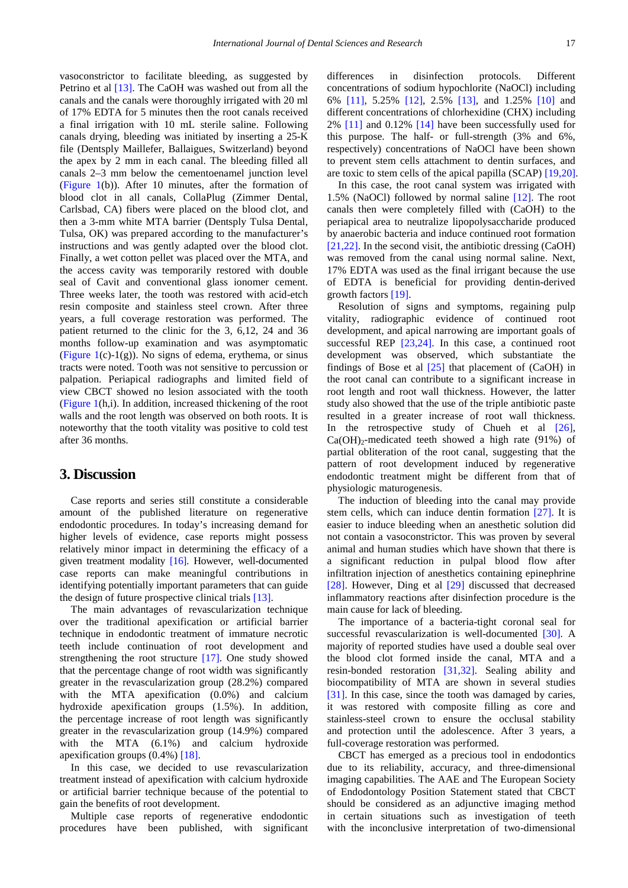vasoconstrictor to facilitate bleeding, as suggested by Petrino et al [\[13\].](#page-3-10) The CaOH was washed out from all the canals and the canals were thoroughly irrigated with 20 ml of 17% EDTA for 5 minutes then the root canals received a final irrigation with 10 mL sterile saline. Following canals drying, bleeding was initiated by inserting a 25-K file (Dentsply Maillefer, Ballaigues, Switzerland) beyond the apex by 2 mm in each canal. The bleeding filled all canals 2–3 mm below the cementoenamel junction level [\(Figure 1\(](#page-1-0)b)). After 10 minutes, after the formation of blood clot in all canals, CollaPlug (Zimmer Dental, Carlsbad, CA) fibers were placed on the blood clot, and then a 3-mm white MTA barrier (Dentsply Tulsa Dental, Tulsa, OK) was prepared according to the manufacturer's instructions and was gently adapted over the blood clot. Finally, a wet cotton pellet was placed over the MTA, and the access cavity was temporarily restored with double seal of Cavit and conventional glass ionomer cement. Three weeks later, the tooth was restored with acid-etch resin composite and stainless steel crown. After three years, a full coverage restoration was performed. The patient returned to the clinic for the 3, 6,12, 24 and 36 months follow-up examination and was asymptomatic (Figure  $1(c)-1(g)$ ). No signs of edema, erythema, or sinus tracts were noted. Tooth was not sensitive to percussion or palpation. Periapical radiographs and limited field of view CBCT showed no lesion associated with the tooth [\(Figure 1\(](#page-1-0)h,i). In addition, increased thickening of the root walls and the root length was observed on both roots. It is noteworthy that the tooth vitality was positive to cold test after 36 months.

#### **3. Discussion**

Case reports and series still constitute a considerable amount of the published literature on regenerative endodontic procedures. In today's increasing demand for higher levels of evidence, case reports might possess relatively minor impact in determining the efficacy of a given treatment modality [\[16\].](#page-3-14) However, well-documented case reports can make meaningful contributions in identifying potentially important parameters that can guide the design of future prospective clinical trials [\[13\].](#page-3-10)

The main advantages of revascularization technique over the traditional apexification or artificial barrier technique in endodontic treatment of immature necrotic teeth include continuation of root development and strengthening the root structure [\[17\].](#page-3-15) One study showed that the percentage change of root width was significantly greater in the revascularization group (28.2%) compared with the MTA apexification (0.0%) and calcium hydroxide apexification groups (1.5%). In addition, the percentage increase of root length was significantly greater in the revascularization group (14.9%) compared with the MTA (6.1%) and calcium hydroxide apexification groups (0.4%) [\[18\].](#page-3-16)

In this case, we decided to use revascularization treatment instead of apexification with calcium hydroxide or artificial barrier technique because of the potential to gain the benefits of root development.

Multiple case reports of regenerative endodontic procedures have been published, with significant differences in disinfection protocols. Different concentrations of sodium hypochlorite (NaOCl) including 6% [\[11\],](#page-3-8) 5.25% [\[12\],](#page-3-9) 2.5% [\[13\],](#page-3-10) and 1.25% [\[10\]](#page-3-11) and different concentrations of chlorhexidine (CHX) including 2% [\[11\]](#page-3-8) and 0.12% [\[14\]](#page-3-12) have been successfully used for this purpose. The half- or full-strength (3% and 6%, respectively) concentrations of NaOCl have been shown to prevent stem cells attachment to dentin surfaces, and are toxic to stem cells of the apical papilla (SCAP) [\[19,20\].](#page-3-17)

In this case, the root canal system was irrigated with 1.5% (NaOCl) followed by normal saline [\[12\].](#page-3-9) The root canals then were completely filled with (CaOH) to the periapical area to neutralize lipopolysaccharide produced by anaerobic bacteria and induce continued root formation [\[21,22\].](#page-3-18) In the second visit, the antibiotic dressing (CaOH) was removed from the canal using normal saline. Next, 17% EDTA was used as the final irrigant because the use of EDTA is beneficial for providing dentin-derived growth factor[s \[19\].](#page-3-17)

Resolution of signs and symptoms, regaining pulp vitality, radiographic evidence of continued root development, and apical narrowing are important goals of successful REP [\[23,24\].](#page-3-19) In this case, a continued root development was observed, which substantiate the findings of Bose et al [\[25\]](#page-3-20) that placement of (CaOH) in the root canal can contribute to a significant increase in root length and root wall thickness. However, the latter study also showed that the use of the triple antibiotic paste resulted in a greater increase of root wall thickness. In the retrospective study of Chueh et al [\[26\],](#page-3-21)  $Ca(OH)<sub>2</sub>$ -medicated teeth showed a high rate (91%) of partial obliteration of the root canal, suggesting that the pattern of root development induced by regenerative endodontic treatment might be different from that of physiologic maturogenesis.

The induction of bleeding into the canal may provide stem cells, which can induce dentin formation [\[27\].](#page-3-22) It is easier to induce bleeding when an anesthetic solution did not contain a vasoconstrictor. This was proven by several animal and human studies which have shown that there is a significant reduction in pulpal blood flow after infiltration injection of anesthetics containing epinephrine [\[28\].](#page-3-23) However, Ding et al [\[29\]](#page-3-24) discussed that decreased inflammatory reactions after disinfection procedure is the main cause for lack of bleeding.

The importance of a bacteria-tight coronal seal for successful revascularization is well-documented [\[30\].](#page-3-25) A majority of reported studies have used a double seal over the blood clot formed inside the canal, MTA and a resin-bonded restoration [\[31,32\].](#page-3-26) Sealing ability and biocompatibility of MTA are shown in several studies [\[31\].](#page-3-26) In this case, since the tooth was damaged by caries, it was restored with composite filling as core and stainless-steel crown to ensure the occlusal stability and protection until the adolescence. After 3 years, a full-coverage restoration was performed.

CBCT has emerged as a precious tool in endodontics due to its reliability, accuracy, and three-dimensional imaging capabilities. The AAE and The European Society of Endodontology Position Statement stated that CBCT should be considered as an adjunctive imaging method in certain situations such as investigation of teeth with the inconclusive interpretation of two-dimensional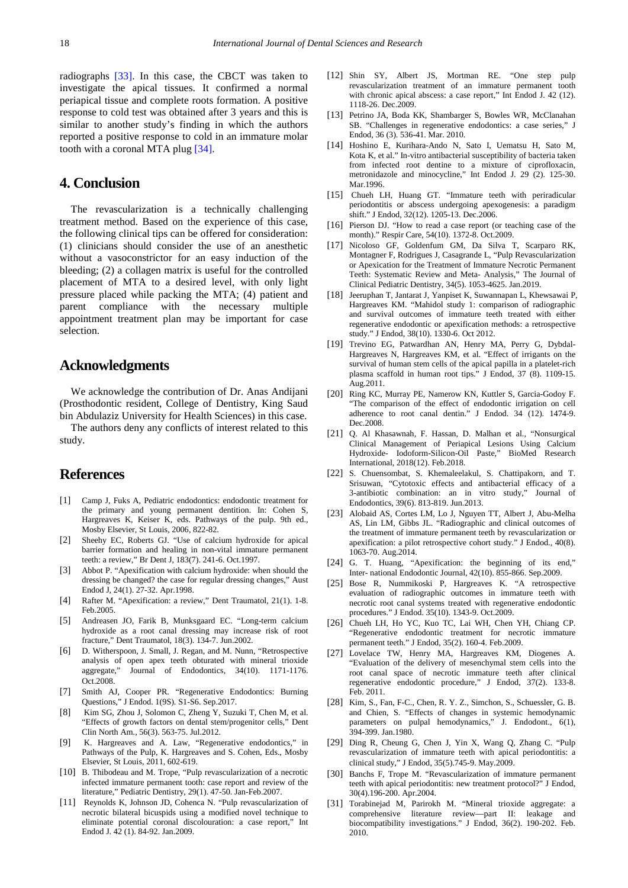radiographs [\[33\].](#page-4-0) In this case, the CBCT was taken to investigate the apical tissues. It confirmed a normal periapical tissue and complete roots formation. A positive response to cold test was obtained after 3 years and this is similar to another study's finding in which the authors reported a positive response to cold in an immature molar tooth with a coronal MTA plug [\[34\].](#page-4-1)

## **4. Conclusion**

The revascularization is a technically challenging treatment method. Based on the experience of this case, the following clinical tips can be offered for consideration: (1) clinicians should consider the use of an anesthetic without a vasoconstrictor for an easy induction of the bleeding; (2) a collagen matrix is useful for the controlled placement of MTA to a desired level, with only light pressure placed while packing the MTA; (4) patient and parent compliance with the necessary multiple appointment treatment plan may be important for case selection.

## **Acknowledgments**

We acknowledge the contribution of Dr. Anas Andijani (Prosthodontic resident, College of Dentistry, King Saud bin Abdulaziz University for Health Sciences) in this case.

The authors deny any conflicts of interest related to this study.

## **References**

- <span id="page-3-0"></span>[1] Camp J, Fuks A, Pediatric endodontics: endodontic treatment for the primary and young permanent dentition. In: Cohen S, Hargreaves K, Keiser K, eds. Pathways of the pulp. 9th ed., Mosby Elsevier, St Louis, 2006, 822-82.
- <span id="page-3-1"></span>[2] Sheehy EC, Roberts GJ. "Use of calcium hydroxide for apical barrier formation and healing in non-vital immature permanent teeth: a review," Br Dent J, 183(7). 241-6. Oct.1997.
- [3] Abbot P. "Apexification with calcium hydroxide: when should the dressing be changed? the case for regular dressing changes," Aust Endod J, 24(1). 27-32. Apr.1998.
- <span id="page-3-2"></span>[4] Rafter M. "Apexification: a review," Dent Traumatol, 21(1). 1-8. Feb.2005.
- <span id="page-3-3"></span>[5] Andreasen JO, Farik B, Munksgaard EC. "Long-term calcium hydroxide as a root canal dressing may increase risk of root fracture," Dent Traumatol, 18(3). 134-7. Jun.2002.
- <span id="page-3-4"></span>[6] D. Witherspoon, J. Small, J. Regan, and M. Nunn, "Retrospective analysis of open apex teeth obturated with mineral trioxide aggregate," Journal of Endodontics, 34(10). 1171-1176. Oct.2008.
- <span id="page-3-5"></span>[7] Smith AJ, Cooper PR. "Regenerative Endodontics: Burning Questions," J Endod. 1(9S). S1-S6. Sep.2017.
- <span id="page-3-6"></span>[8] Kim SG, Zhou J, Solomon C, Zheng Y, Suzuki T, Chen M, et al. "Effects of growth factors on dental stem/progenitor cells," Dent Clin North Am., 56(3). 563-75. Jul.2012.
- <span id="page-3-7"></span>[9] K. Hargreaves and A. Law, "Regenerative endodontics," in Pathways of the Pulp, K. Hargreaves and S. Cohen, Eds., Mosby Elsevier, St Louis, 2011, 602-619.
- <span id="page-3-11"></span>[10] B. Thibodeau and M. Trope, "Pulp revascularization of a necrotic infected immature permanent tooth: case report and review of the literature," Pediatric Dentistry, 29(1). 47-50. Jan-Feb.2007.
- <span id="page-3-8"></span>[11] Reynolds K, Johnson JD, Cohenca N. "Pulp revascularization of necrotic bilateral bicuspids using a modified novel technique to eliminate potential coronal discolouration: a case report,' Endod J. 42 (1). 84-92. Jan.2009.
- <span id="page-3-9"></span>[12] Shin SY, Albert JS, Mortman RE. "One step pulp revascularization treatment of an immature permanent tooth with chronic apical abscess: a case report," Int Endod J. 42 (12). 1118-26. Dec.2009.
- <span id="page-3-10"></span>[13] Petrino JA, Boda KK, Shambarger S, Bowles WR, McClanahan SB. "Challenges in regenerative endodontics: a case series," J Endod, 36 (3). 536-41. Mar. 2010.
- <span id="page-3-12"></span>[14] Hoshino E, Kurihara-Ando N, Sato I, Uematsu H, Sato M, Kota K, et al." In-vitro antibacterial susceptibility of bacteria taken from infected root dentine to a mixture of ciprofloxacin, metronidazole and minocycline," Int Endod J. 29 (2). 125-30. Mar.1996.
- <span id="page-3-13"></span>[15] Chueh LH, Huang GT. "Immature teeth with periradicular periodontitis or abscess undergoing apexogenesis: a paradigm shift." J Endod, 32(12). 1205-13. Dec.2006.
- <span id="page-3-14"></span>[16] Pierson DJ. "How to read a case report (or teaching case of the month)." Respir Care, 54(10). 1372-8. Oct.2009.
- <span id="page-3-15"></span>[17] Nicoloso GF, Goldenfum GM, Da Silva T, Scarparo RK, Montagner F, Rodrigues J, Casagrande L, "Pulp Revascularization or Apexication for the Treatment of Immature Necrotic Permanent Teeth: Systematic Review and Meta- Analysis," The Journal of Clinical Pediatric Dentistry, 34(5). 1053-4625. Jan.2019.
- <span id="page-3-16"></span>[18] Jeeruphan T, Jantarat J, Yanpiset K, Suwannapan L, Khewsawai P, Hargreaves KM. "Mahidol study 1: comparison of radiographic and survival outcomes of immature teeth treated with either regenerative endodontic or apexification methods: a retrospective study." J Endod, 38(10). 1330-6. Oct 2012.
- <span id="page-3-17"></span>[19] Trevino EG, Patwardhan AN, Henry MA, Perry G, Dybdal-Hargreaves N, Hargreaves KM, et al. "Effect of irrigants on the survival of human stem cells of the apical papilla in a platelet-rich plasma scaffold in human root tips." J Endod, 37 (8). 1109-15. Aug.2011.
- [20] Ring KC, Murray PE, Namerow KN, Kuttler S, Garcia-Godoy F. "The comparison of the effect of endodontic irrigation on cell adherence to root canal dentin." J Endod. 34 (12). 1474-9. Dec.2008.
- <span id="page-3-18"></span>[21] Q. Al Khasawnah, F. Hassan, D. Malhan et al., "Nonsurgical Clinical Management of Periapical Lesions Using Calcium Hydroxide- Iodoform-Silicon-Oil Paste," BioMed Research International, 2018(12). Feb.2018.
- [22] S. Chuensombat, S. Khemaleelakul, S. Chattipakorn, and T. Srisuwan, "Cytotoxic effects and antibacterial efficacy of a 3-antibiotic combination: an in vitro study," Journal of Endodontics, 39(6). 813-819. Jun.2013.
- <span id="page-3-19"></span>[23] Alobaid AS, Cortes LM, Lo J, Nguyen TT, Albert J, Abu-Melha AS, Lin LM, Gibbs JL. "Radiographic and clinical outcomes of the treatment of immature permanent teeth by revascularization or apexification: a pilot retrospective cohort study." J Endod., 40(8). 1063-70. Aug.2014.
- [24] G. T. Huang, "Apexification: the beginning of its end," Inter- national Endodontic Journal, 42(10). 855-866. Sep.2009.
- <span id="page-3-20"></span>[25] Bose R, Nummikoski P, Hargreaves K. "A retrospective evaluation of radiographic outcomes in immature teeth with necrotic root canal systems treated with regenerative endodontic procedures." J Endod. 35(10). 1343-9. Oct.2009.
- <span id="page-3-21"></span>[26] Chueh LH, Ho YC, Kuo TC, Lai WH, Chen YH, Chiang CP. "Regenerative endodontic treatment for necrotic immature permanent teeth." J Endod, 35(2). 160-4. Feb.2009.
- <span id="page-3-22"></span>[27] Lovelace TW, Henry MA, Hargreaves KM, Diogenes A. "Evaluation of the delivery of mesenchymal stem cells into the root canal space of necrotic immature teeth after clinical regenerative endodontic procedure," J Endod, 37(2). 133-8. Feb. 2011.
- <span id="page-3-23"></span>[28] Kim, S., Fan, F-C., Chen, R. Y. Z., Simchon, S., Schuessler, G. B. and Chien, S. "Effects of changes in systemic hemodynamic parameters on pulpal hemodynamics," J. Endodont., 6(1), 394-399. Jan.1980.
- <span id="page-3-24"></span>[29] Ding R, Cheung G, Chen J, Yin X, Wang Q, Zhang C. "Pulp revascularization of immature teeth with apical periodontitis: a clinical study," J Endod, 35(5).745-9. May.2009.
- <span id="page-3-25"></span>[30] Banchs F, Trope M. "Revascularization of immature permanent teeth with apical periodontitis: new treatment protocol?" J Endod, 30(4).196-200. Apr.2004.
- <span id="page-3-26"></span>[31] Torabinejad M, Parirokh M. "Mineral trioxide aggregate: a comprehensive literature review—part II: leakage and biocompatibility investigations." J Endod, 36(2). 190-202. Feb. 2010.